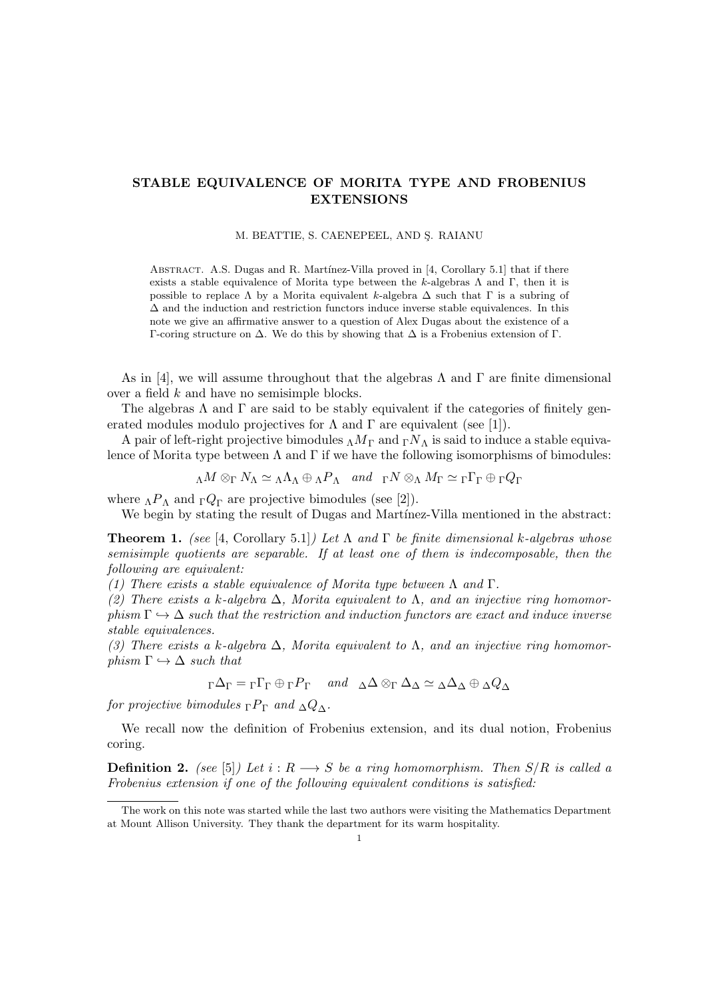## STABLE EQUIVALENCE OF MORITA TYPE AND FROBENIUS EXTENSIONS

## M. BEATTIE, S. CAENEPEEL, AND S. RAIANU

ABSTRACT. A.S. Dugas and R. Martínez-Villa proved in [4, Corollary 5.1] that if there exists a stable equivalence of Morita type between the k-algebras  $\Lambda$  and  $\Gamma$ , then it is possible to replace  $\Lambda$  by a Morita equivalent k-algebra  $\Delta$  such that  $\Gamma$  is a subring of  $\Delta$  and the induction and restriction functors induce inverse stable equivalences. In this note we give an affirmative answer to a question of Alex Dugas about the existence of a Γ-coring structure on ∆. We do this by showing that ∆ is a Frobenius extension of Γ.

As in [4], we will assume throughout that the algebras  $\Lambda$  and  $\Gamma$  are finite dimensional over a field k and have no semisimple blocks.

The algebras  $\Lambda$  and  $\Gamma$  are said to be stably equivalent if the categories of finitely generated modules modulo projectives for  $\Lambda$  and  $\Gamma$  are equivalent (see [1]).

A pair of left-right projective bimodules  $_{\Lambda}M_{\Gamma}$  and  $_{\Gamma}N_{\Lambda}$  is said to induce a stable equivalence of Morita type between  $\Lambda$  and  $\Gamma$  if we have the following isomorphisms of bimodules:

$$
{}_{\Lambda}M\otimes_{\Gamma}N_{\Lambda}\simeq{}_{\Lambda}\Lambda_{\Lambda}\oplus{}_{\Lambda}P_{\Lambda}\quad and\quad {}_{\Gamma}N\otimes_{\Lambda}M_{\Gamma}\simeq{}_{\Gamma}\Gamma_{\Gamma}\oplus{}_{\Gamma}Q_{\Gamma}
$$

where  $_{\Lambda}P_{\Lambda}$  and  $_{\Gamma}Q_{\Gamma}$  are projective bimodules (see [2]).

We begin by stating the result of Dugas and Martínez-Villa mentioned in the abstract:

**Theorem 1.** (see [4, Corollary 5.1]) Let  $\Lambda$  and  $\Gamma$  be finite dimensional k-algebras whose semisimple quotients are separable. If at least one of them is indecomposable, then the following are equivalent:

(1) There exists a stable equivalence of Morita type between  $\Lambda$  and  $\Gamma$ .

(2) There exists a k-algebra  $\Delta$ , Morita equivalent to  $\Lambda$ , and an injective ring homomorphism  $\Gamma \hookrightarrow \Delta$  such that the restriction and induction functors are exact and induce inverse stable equivalences.

(3) There exists a k-algebra  $\Delta$ , Morita equivalent to  $\Lambda$ , and an injective ring homomorphism  $\Gamma \hookrightarrow \Delta$  such that

 $\Gamma \Delta_{\Gamma} = \Gamma \Gamma_{\Gamma} \oplus \Gamma P_{\Gamma}$  and  $\Delta \Delta \otimes_{\Gamma} \Delta_{\Delta} \simeq \Delta \Delta_{\Delta} \oplus \Delta Q_{\Delta}$ 

for projective bimodules  $\Gamma P_{\Gamma}$  and  $\Delta Q_{\Delta}$ .

We recall now the definition of Frobenius extension, and its dual notion, Frobenius coring.

**Definition 2.** (see [5]) Let  $i : R \longrightarrow S$  be a ring homomorphism. Then  $S/R$  is called a Frobenius extension if one of the following equivalent conditions is satisfied:

The work on this note was started while the last two authors were visiting the Mathematics Department at Mount Allison University. They thank the department for its warm hospitality.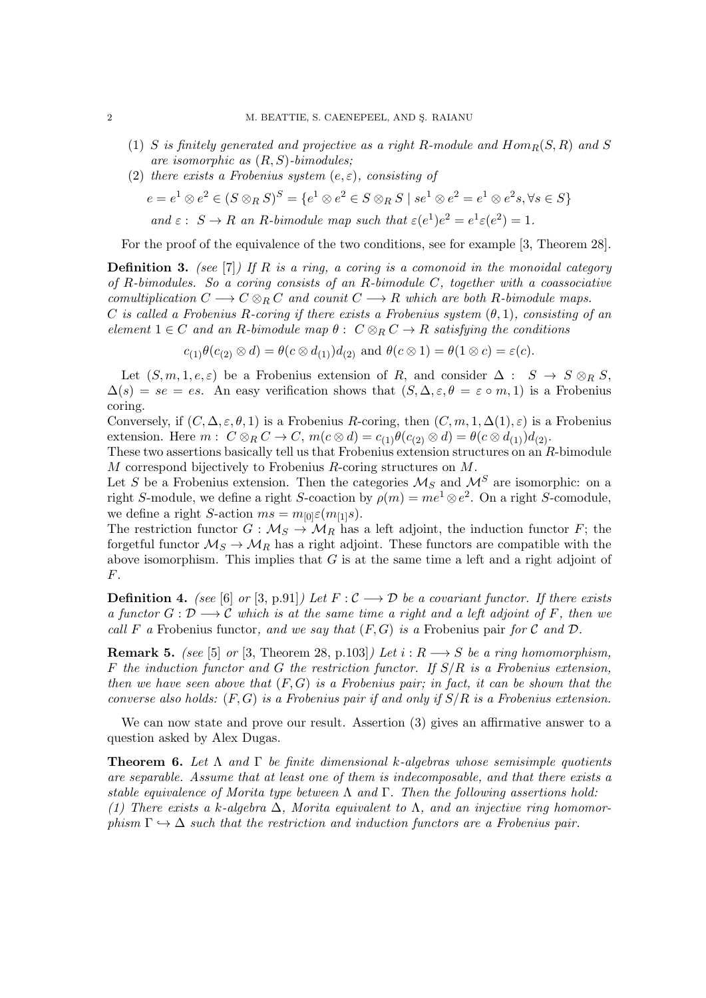- (1) S is finitely generated and projective as a right R-module and  $Hom_R(S, R)$  and S are isomorphic as  $(R, S)$ -bimodules;
- (2) there exists a Frobenius system  $(e, \varepsilon)$ , consisting of

$$
e = e1 \otimes e2 \in (S \otimes_R S)S = \{e1 \otimes e2 \in S \otimes_R S \mid se1 \otimes e2 = e1 \otimes e2s, \forall s \in S\}
$$
  
and  $\varepsilon : S \to R$  an R-bimodule map such that  $\varepsilon(e1)e2 = e1\varepsilon(e2) = 1$ .

For the proof of the equivalence of the two conditions, see for example [3, Theorem 28].

**Definition 3.** (see [7]) If R is a ring, a coring is a comonoid in the monoidal category of R-bimodules. So a coring consists of an R-bimodule C, together with a coassociative comultiplication  $C \longrightarrow C \otimes_R C$  and counit  $C \longrightarrow R$  which are both R-bimodule maps. C is called a Frobenius R-coring if there exists a Frobenius system  $(\theta, 1)$ , consisting of an element  $1 \in C$  and an R-bimodule map  $\theta: C \otimes_R C \rightarrow R$  satisfying the conditions

$$
c_{(1)}\theta(c_{(2)}\otimes d) = \theta(c\otimes d_{(1)})d_{(2)}
$$
 and  $\theta(c\otimes 1) = \theta(1\otimes c) = \varepsilon(c)$ .

Let  $(S, m, 1, e, \varepsilon)$  be a Frobenius extension of R, and consider  $\Delta : S \to S \otimes_R S$ ,  $\Delta(s) = se = es$ . An easy verification shows that  $(S, \Delta, \varepsilon, \theta = \varepsilon \circ m, 1)$  is a Frobenius coring.

Conversely, if  $(C, \Delta, \varepsilon, \theta, 1)$  is a Frobenius R-coring, then  $(C, m, 1, \Delta(1), \varepsilon)$  is a Frobenius extension. Here  $m: C \otimes_R C \to C$ ,  $m(c \otimes d) = c_{(1)} \theta(c_{(2)} \otimes d) = \theta(c \otimes d_{(1)})d_{(2)}$ .

These two assertions basically tell us that Frobenius extension structures on an R-bimodule M correspond bijectively to Frobenius R-coring structures on M.

Let S be a Frobenius extension. Then the categories  $M_S$  and  $M^S$  are isomorphic: on a right S-module, we define a right S-coaction by  $\rho(m) = me^1 \otimes e^2$ . On a right S-comodule, we define a right S-action  $ms = m_{[0]}\varepsilon(m_{[1]}s)$ .

The restriction functor  $G : \mathcal{M}_S \to \mathcal{M}_R$  has a left adjoint, the induction functor F; the forgetful functor  $\mathcal{M}_S \to \mathcal{M}_R$  has a right adjoint. These functors are compatible with the above isomorphism. This implies that  $G$  is at the same time a left and a right adjoint of F.

**Definition 4.** (see [6] or [3, p.91]) Let  $F : C \longrightarrow D$  be a covariant functor. If there exists a functor  $G: \mathcal{D} \longrightarrow \mathcal{C}$  which is at the same time a right and a left adjoint of F, then we call F a Frobenius functor, and we say that  $(F, G)$  is a Frobenius pair for C and D.

**Remark 5.** (see [5] or [3, Theorem 28, p.103]) Let  $i : R \longrightarrow S$  be a ring homomorphism, F the induction functor and G the restriction functor. If  $S/R$  is a Frobenius extension, then we have seen above that  $(F, G)$  is a Frobenius pair; in fact, it can be shown that the converse also holds:  $(F, G)$  is a Frobenius pair if and only if  $S/R$  is a Frobenius extension.

We can now state and prove our result. Assertion (3) gives an affirmative answer to a question asked by Alex Dugas.

**Theorem 6.** Let  $\Lambda$  and  $\Gamma$  be finite dimensional k-algebras whose semisimple quotients are separable. Assume that at least one of them is indecomposable, and that there exists a stable equivalence of Morita type between  $\Lambda$  and  $\Gamma$ . Then the following assertions hold: (1) There exists a k-algebra  $\Delta$ , Morita equivalent to  $\Lambda$ , and an injective ring homomorphism  $\Gamma \hookrightarrow \Delta$  such that the restriction and induction functors are a Frobenius pair.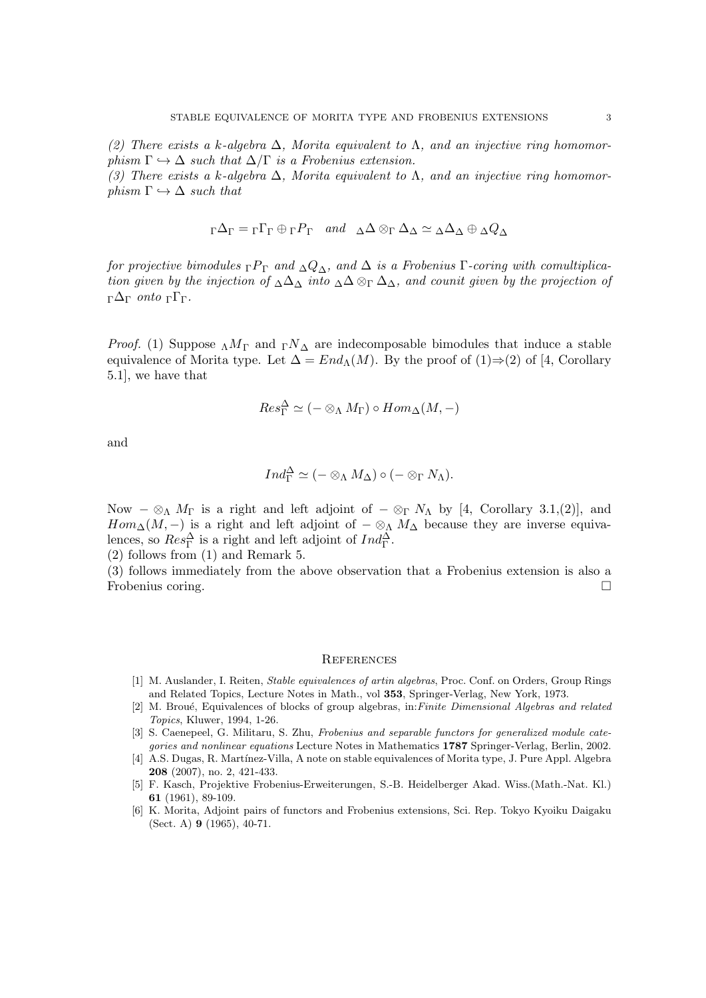(3) There exists a k-algebra  $\Delta$ , Morita equivalent to  $\Lambda$ , and an injective ring homomorphism  $\Gamma \hookrightarrow \Delta$  such that

$$
{}_{\Gamma}\Delta_{\Gamma} = {}_{\Gamma}\Gamma_{\Gamma} \oplus {}_{\Gamma}P_{\Gamma} \quad and \quad \Delta\Delta \otimes_{\Gamma} \Delta_{\Delta} \simeq {}_{\Delta}\Delta_{\Delta} \oplus {}_{\Delta}Q_{\Delta}
$$

for projective bimodules  $\Gamma P_{\Gamma}$  and  $\Delta Q_{\Delta}$ , and  $\Delta$  is a Frobenius Γ-coring with comultiplication given by the injection of  $\Delta\Delta_{\Delta}$  into  $\Delta\Delta\otimes_{\Gamma}\Delta_{\Delta}$ , and counit given by the projection of <sup>Γ</sup>∆<sup>Γ</sup> onto <sup>Γ</sup>ΓΓ.

*Proof.* (1) Suppose  $\Lambda M_{\Gamma}$  and  $\Gamma N_{\Delta}$  are indecomposable bimodules that induce a stable equivalence of Morita type. Let  $\Delta = End_{\Lambda}(M)$ . By the proof of  $(1) \Rightarrow (2)$  of [4, Corollary 5.1], we have that

$$
Res_{\Gamma}^{\Delta} \simeq (- \otimes_{\Lambda} M_{\Gamma}) \circ Hom_{\Delta}(M, -)
$$

and

$$
Ind_{\Gamma}^{\Delta} \simeq (- \otimes_{\Lambda} M_{\Delta}) \circ (- \otimes_{\Gamma} N_{\Lambda}).
$$

Now  $-\otimes_{\Lambda} M_{\Gamma}$  is a right and left adjoint of  $-\otimes_{\Gamma} N_{\Lambda}$  by [4, Corollary 3.1,(2)], and  $Hom_{\Delta}(M, -)$  is a right and left adjoint of  $-\otimes_{\Lambda} M_{\Delta}$  because they are inverse equivalences, so  $Res_{\Gamma}^{\Delta}$  is a right and left adjoint of  $Ind_{\Gamma}^{\Delta}$ .

(2) follows from (1) and Remark 5.

(3) follows immediately from the above observation that a Frobenius extension is also a Frobenius coring.

## **REFERENCES**

- [1] M. Auslander, I. Reiten, Stable equivalences of artin algebras, Proc. Conf. on Orders, Group Rings and Related Topics, Lecture Notes in Math., vol 353, Springer-Verlag, New York, 1973.
- [2] M. Broué, Equivalences of blocks of group algebras, in:Finite Dimensional Algebras and related Topics, Kluwer, 1994, 1-26.
- [3] S. Caenepeel, G. Militaru, S. Zhu, Frobenius and separable functors for generalized module categories and nonlinear equations Lecture Notes in Mathematics 1787 Springer-Verlag, Berlin, 2002.
- [4] A.S. Dugas, R. Martínez-Villa, A note on stable equivalences of Morita type, J. Pure Appl. Algebra 208 (2007), no. 2, 421-433.
- [5] F. Kasch, Projektive Frobenius-Erweiterungen, S.-B. Heidelberger Akad. Wiss.(Math.-Nat. Kl.) 61 (1961), 89-109.
- [6] K. Morita, Adjoint pairs of functors and Frobenius extensions, Sci. Rep. Tokyo Kyoiku Daigaku (Sect. A) 9 (1965), 40-71.